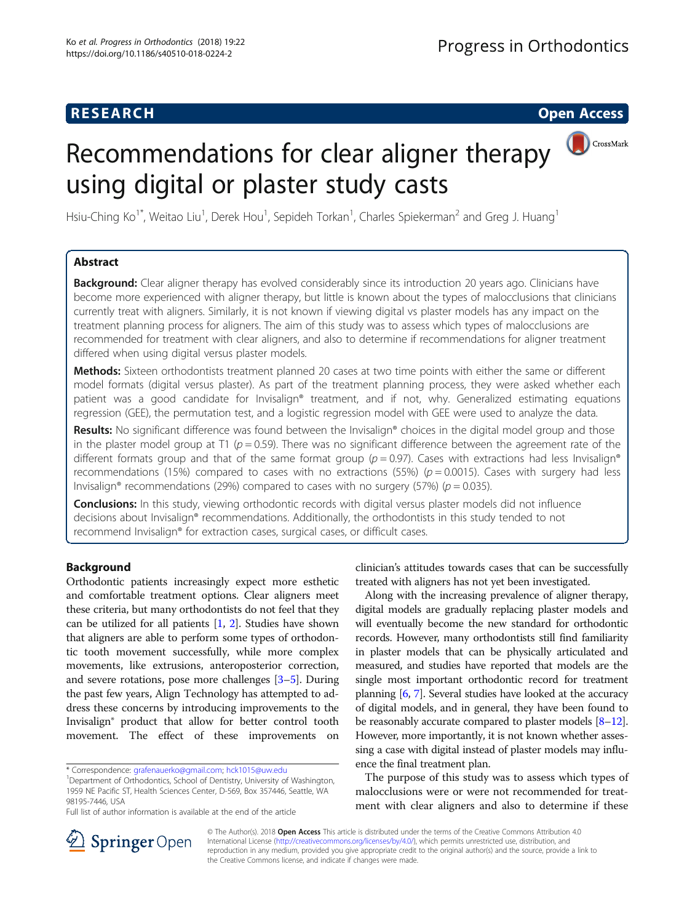# Recommendations for clear aligner therapy using digital or plaster study casts



Hsiu-Ching Ko<sup>1\*</sup>, Weitao Liu<sup>1</sup>, Derek Hou<sup>1</sup>, Sepideh Torkan<sup>1</sup>, Charles Spiekerman<sup>2</sup> and Greg J. Huang<sup>1</sup>

# Abstract

**Background:** Clear aligner therapy has evolved considerably since its introduction 20 years ago. Clinicians have become more experienced with aligner therapy, but little is known about the types of malocclusions that clinicians currently treat with aligners. Similarly, it is not known if viewing digital vs plaster models has any impact on the treatment planning process for aligners. The aim of this study was to assess which types of malocclusions are recommended for treatment with clear aligners, and also to determine if recommendations for aligner treatment differed when using digital versus plaster models.

Methods: Sixteen orthodontists treatment planned 20 cases at two time points with either the same or different model formats (digital versus plaster). As part of the treatment planning process, they were asked whether each patient was a good candidate for Invisalign® treatment, and if not, why. Generalized estimating equations regression (GEE), the permutation test, and a logistic regression model with GEE were used to analyze the data.

Results: No significant difference was found between the Invisalign® choices in the digital model group and those in the plaster model group at T1 ( $p = 0.59$ ). There was no significant difference between the agreement rate of the different formats group and that of the same format group ( $p = 0.97$ ). Cases with extractions had less Invisalign<sup>®</sup> recommendations (15%) compared to cases with no extractions (55%) ( $p = 0.0015$ ). Cases with surgery had less Invisalign® recommendations (29%) compared to cases with no surgery (57%) ( $p = 0.035$ ).

Conclusions: In this study, viewing orthodontic records with digital versus plaster models did not influence decisions about Invisalign® recommendations. Additionally, the orthodontists in this study tended to not recommend Invisalign® for extraction cases, surgical cases, or difficult cases.

## Background

Orthodontic patients increasingly expect more esthetic and comfortable treatment options. Clear aligners meet these criteria, but many orthodontists do not feel that they can be utilized for all patients [\[1](#page-6-0), [2](#page-6-0)]. Studies have shown that aligners are able to perform some types of orthodontic tooth movement successfully, while more complex movements, like extrusions, anteroposterior correction, and severe rotations, pose more challenges [\[3](#page-6-0)–[5\]](#page-7-0). During the past few years, Align Technology has attempted to address these concerns by introducing improvements to the Invisalign® product that allow for better control tooth movement. The effect of these improvements on

Full list of author information is available at the end of the article

clinician's attitudes towards cases that can be successfully treated with aligners has not yet been investigated.

Along with the increasing prevalence of aligner therapy, digital models are gradually replacing plaster models and will eventually become the new standard for orthodontic records. However, many orthodontists still find familiarity in plaster models that can be physically articulated and measured, and studies have reported that models are the single most important orthodontic record for treatment planning [\[6,](#page-7-0) [7\]](#page-7-0). Several studies have looked at the accuracy of digital models, and in general, they have been found to be reasonably accurate compared to plaster models  $[8-12]$  $[8-12]$  $[8-12]$  $[8-12]$ . However, more importantly, it is not known whether assessing a case with digital instead of plaster models may influence the final treatment plan.

The purpose of this study was to assess which types of malocclusions were or were not recommended for treatment with clear aligners and also to determine if these



© The Author(s). 2018 Open Access This article is distributed under the terms of the Creative Commons Attribution 4.0 International License ([http://creativecommons.org/licenses/by/4.0/\)](http://creativecommons.org/licenses/by/4.0/), which permits unrestricted use, distribution, and reproduction in any medium, provided you give appropriate credit to the original author(s) and the source, provide a link to the Creative Commons license, and indicate if changes were made.

<sup>\*</sup> Correspondence: [grafenauerko@gmail.com](mailto:grafenauerko@gmail.com); [hck1015@uw.edu](mailto:hck1015@uw.edu) <sup>1</sup>

<sup>&</sup>lt;sup>1</sup>Department of Orthodontics, School of Dentistry, University of Washington, 1959 NE Pacific ST, Health Sciences Center, D-569, Box 357446, Seattle, WA 98195-7446, USA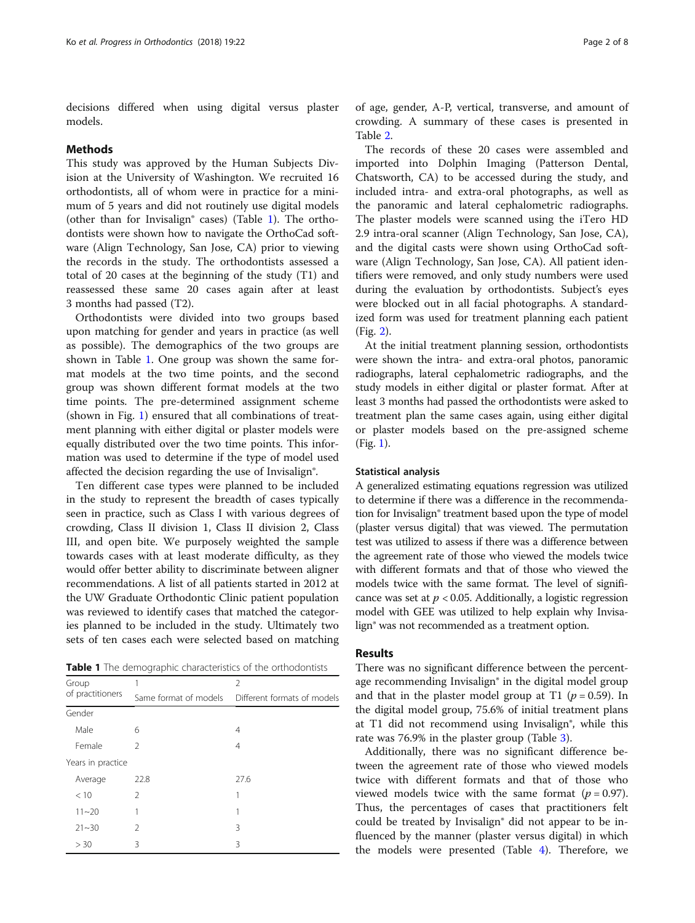decisions differed when using digital versus plaster models.

## **Methods**

This study was approved by the Human Subjects Division at the University of Washington. We recruited 16 orthodontists, all of whom were in practice for a minimum of 5 years and did not routinely use digital models (other than for Invisalign® cases) (Table 1). The orthodontists were shown how to navigate the OrthoCad software (Align Technology, San Jose, CA) prior to viewing the records in the study. The orthodontists assessed a total of 20 cases at the beginning of the study (T1) and reassessed these same 20 cases again after at least 3 months had passed (T2).

Orthodontists were divided into two groups based upon matching for gender and years in practice (as well as possible). The demographics of the two groups are shown in Table 1. One group was shown the same format models at the two time points, and the second group was shown different format models at the two time points. The pre-determined assignment scheme (shown in Fig. [1\)](#page-2-0) ensured that all combinations of treatment planning with either digital or plaster models were equally distributed over the two time points. This information was used to determine if the type of model used affected the decision regarding the use of Invisalign®.

Ten different case types were planned to be included in the study to represent the breadth of cases typically seen in practice, such as Class I with various degrees of crowding, Class II division 1, Class II division 2, Class III, and open bite. We purposely weighted the sample towards cases with at least moderate difficulty, as they would offer better ability to discriminate between aligner recommendations. A list of all patients started in 2012 at the UW Graduate Orthodontic Clinic patient population was reviewed to identify cases that matched the categories planned to be included in the study. Ultimately two sets of ten cases each were selected based on matching

Table 1 The demographic characteristics of the orthodontists

| Group             | 1                     | $\overline{2}$              |
|-------------------|-----------------------|-----------------------------|
| of practitioners  | Same format of models | Different formats of models |
| Gender            |                       |                             |
| Male              | 6                     | 4                           |
| Female            | $\mathfrak{D}$        | $\overline{4}$              |
| Years in practice |                       |                             |
| Average           | 22.8                  | 27.6                        |
| < 10              | $\mathcal{P}$         | 1                           |
| $11 - 20$         | 1                     | 1                           |
| $21 - 30$         | $\mathfrak{D}$        | 3                           |
| > 30              | 3                     | 3                           |
|                   |                       |                             |

of age, gender, A-P, vertical, transverse, and amount of crowding. A summary of these cases is presented in Table [2.](#page-2-0)

The records of these 20 cases were assembled and imported into Dolphin Imaging (Patterson Dental, Chatsworth, CA) to be accessed during the study, and included intra- and extra-oral photographs, as well as the panoramic and lateral cephalometric radiographs. The plaster models were scanned using the iTero HD 2.9 intra-oral scanner (Align Technology, San Jose, CA), and the digital casts were shown using OrthoCad software (Align Technology, San Jose, CA). All patient identifiers were removed, and only study numbers were used during the evaluation by orthodontists. Subject's eyes were blocked out in all facial photographs. A standardized form was used for treatment planning each patient (Fig. [2](#page-3-0)).

At the initial treatment planning session, orthodontists were shown the intra- and extra-oral photos, panoramic radiographs, lateral cephalometric radiographs, and the study models in either digital or plaster format. After at least 3 months had passed the orthodontists were asked to treatment plan the same cases again, using either digital or plaster models based on the pre-assigned scheme (Fig. [1](#page-2-0)).

#### Statistical analysis

A generalized estimating equations regression was utilized to determine if there was a difference in the recommendation for Invisalign® treatment based upon the type of model (plaster versus digital) that was viewed. The permutation test was utilized to assess if there was a difference between the agreement rate of those who viewed the models twice with different formats and that of those who viewed the models twice with the same format. The level of significance was set at  $p < 0.05$ . Additionally, a logistic regression model with GEE was utilized to help explain why Invisalign® was not recommended as a treatment option.

## Results

There was no significant difference between the percentage recommending Invisalign® in the digital model group and that in the plaster model group at T1 ( $p = 0.59$ ). In the digital model group, 75.6% of initial treatment plans at T1 did not recommend using Invisalign®, while this rate was 76.9% in the plaster group (Table [3](#page-3-0)).

Additionally, there was no significant difference between the agreement rate of those who viewed models twice with different formats and that of those who viewed models twice with the same format  $(p = 0.97)$ . Thus, the percentages of cases that practitioners felt could be treated by Invisalign® did not appear to be influenced by the manner (plaster versus digital) in which the models were presented (Table [4](#page-4-0)). Therefore, we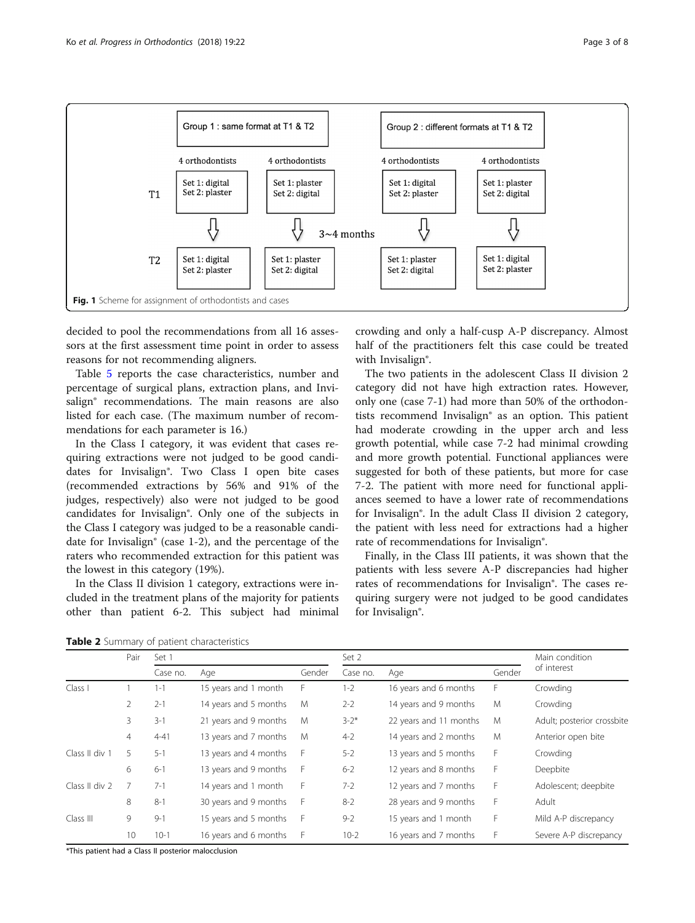

<span id="page-2-0"></span>

decided to pool the recommendations from all 16 assessors at the first assessment time point in order to assess reasons for not recommending aligners.

Table [5](#page-4-0) reports the case characteristics, number and percentage of surgical plans, extraction plans, and Invisalign<sup>®</sup> recommendations. The main reasons are also listed for each case. (The maximum number of recommendations for each parameter is 16.)

In the Class I category, it was evident that cases requiring extractions were not judged to be good candidates for Invisalign®. Two Class I open bite cases (recommended extractions by 56% and 91% of the judges, respectively) also were not judged to be good candidates for Invisalign®. Only one of the subjects in the Class I category was judged to be a reasonable candidate for Invisalign® (case 1-2), and the percentage of the raters who recommended extraction for this patient was the lowest in this category (19%).

In the Class II division 1 category, extractions were included in the treatment plans of the majority for patients other than patient 6-2. This subject had minimal

crowding and only a half-cusp A-P discrepancy. Almost half of the practitioners felt this case could be treated with Invisalign<sup>®</sup>.

The two patients in the adolescent Class II division 2 category did not have high extraction rates. However, only one (case 7-1) had more than 50% of the orthodontists recommend Invisalign® as an option. This patient had moderate crowding in the upper arch and less growth potential, while case 7-2 had minimal crowding and more growth potential. Functional appliances were suggested for both of these patients, but more for case 7-2. The patient with more need for functional appliances seemed to have a lower rate of recommendations for Invisalign®. In the adult Class II division 2 category, the patient with less need for extractions had a higher rate of recommendations for Invisalign®.

Finally, in the Class III patients, it was shown that the patients with less severe A-P discrepancies had higher rates of recommendations for Invisalign®. The cases requiring surgery were not judged to be good candidates for Invisalign®.

Table 2 Summary of patient characteristics

|                | Set 1<br>Pair  |          |                       |        | Set 2     |                        | Main condition |                            |
|----------------|----------------|----------|-----------------------|--------|-----------|------------------------|----------------|----------------------------|
|                |                | Case no. | Age                   | Gender | Case no.  | Age                    | Gender         | of interest                |
| Class I        |                | $1 - 1$  | 15 years and 1 month  | F      | $1 - 2$   | 16 years and 6 months  | F              | Crowding                   |
|                | 2              | $2 - 1$  | 14 years and 5 months | M      | $2 - 2$   | 14 years and 9 months  | M              | Crowding                   |
|                | 3              | $3 - 1$  | 21 years and 9 months | M      | $3 - 2^*$ | 22 years and 11 months | M              | Adult; posterior crossbite |
|                | $\overline{4}$ | $4 - 41$ | 13 years and 7 months | M      | $4 - 2$   | 14 years and 2 months  | M              | Anterior open bite         |
| Class II div 1 | 5              | $5 - 1$  | 13 years and 4 months | F      | $5 - 2$   | 13 years and 5 months  | F              | Crowding                   |
|                | 6              | $6 - 1$  | 13 years and 9 months | F      | $6 - 2$   | 12 years and 8 months  | F              | Deepbite                   |
| Class II div 2 |                | $7 - 1$  | 14 years and 1 month  | F      | $7 - 2$   | 12 years and 7 months  | F              | Adolescent; deepbite       |
|                | 8              | $8 - 1$  | 30 years and 9 months | F      | $8 - 2$   | 28 years and 9 months  | F              | Adult                      |
| Class III      | 9              | $9 - 1$  | 15 years and 5 months | F      | $9 - 2$   | 15 years and 1 month   | F              | Mild A-P discrepancy       |
|                | 10             | $10-1$   | 16 years and 6 months | F      | $10-2$    | 16 years and 7 months  | F              | Severe A-P discrepancy     |

\*This patient had a Class II posterior malocclusion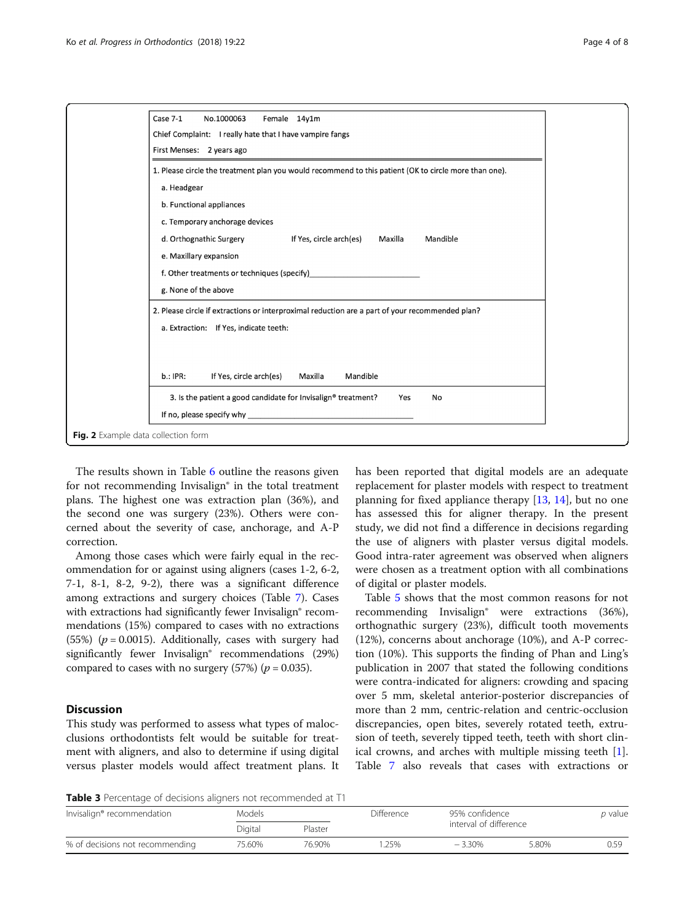<span id="page-3-0"></span>

The results shown in Table [6](#page-5-0) outline the reasons given for not recommending Invisalign® in the total treatment plans. The highest one was extraction plan (36%), and the second one was surgery (23%). Others were concerned about the severity of case, anchorage, and A-P correction.

Among those cases which were fairly equal in the recommendation for or against using aligners (cases 1-2, 6-2, 7-1, 8-1, 8-2, 9-2), there was a significant difference among extractions and surgery choices (Table [7](#page-5-0)). Cases with extractions had significantly fewer Invisalign® recommendations (15%) compared to cases with no extractions (55%) ( $p = 0.0015$ ). Additionally, cases with surgery had significantly fewer Invisalign® recommendations (29%) compared to cases with no surgery  $(57%)$  ( $p = 0.035$ ).

## **Discussion**

This study was performed to assess what types of malocclusions orthodontists felt would be suitable for treatment with aligners, and also to determine if using digital versus plaster models would affect treatment plans. It has been reported that digital models are an adequate replacement for plaster models with respect to treatment planning for fixed appliance therapy [[13,](#page-7-0) [14\]](#page-7-0), but no one has assessed this for aligner therapy. In the present study, we did not find a difference in decisions regarding the use of aligners with plaster versus digital models. Good intra-rater agreement was observed when aligners were chosen as a treatment option with all combinations of digital or plaster models.

Table [5](#page-4-0) shows that the most common reasons for not recommending Invisalign® were extractions (36%), orthognathic surgery (23%), difficult tooth movements (12%), concerns about anchorage (10%), and A-P correction (10%). This supports the finding of Phan and Ling's publication in 2007 that stated the following conditions were contra-indicated for aligners: crowding and spacing over 5 mm, skeletal anterior-posterior discrepancies of more than 2 mm, centric-relation and centric-occlusion discrepancies, open bites, severely rotated teeth, extrusion of teeth, severely tipped teeth, teeth with short clinical crowns, and arches with multiple missing teeth [\[1](#page-6-0)]. Table [7](#page-5-0) also reveals that cases with extractions or

Table 3 Percentage of decisions aligners not recommended at T1

| Invisalign <sup>®</sup> recommendation | <b>Models</b> |         | Difference | 95% confidence         |       | p value |
|----------------------------------------|---------------|---------|------------|------------------------|-------|---------|
|                                        | Digital       | Plaster |            | interval of difference |       |         |
| % of decisions not recommending        | 75.60%        | 76.90%  | .25%       | $-3.30%$               | 5.80% | 0.59    |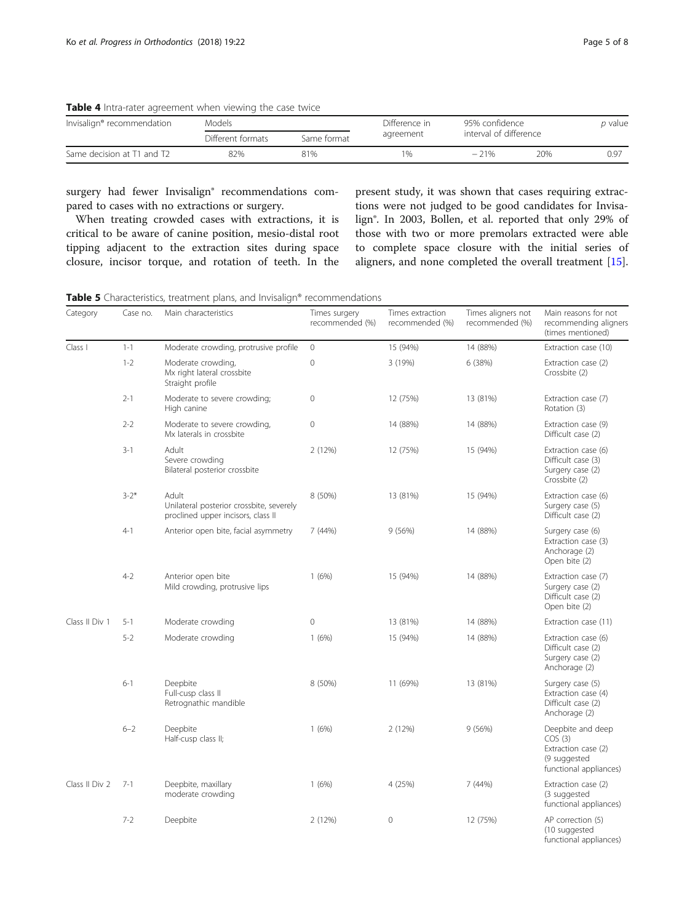<span id="page-4-0"></span>

| Table 4 Intra-rater agreement when viewing the case twice |  |  |  |
|-----------------------------------------------------------|--|--|--|
|                                                           |  |  |  |

| Invisalign® recommendation | Models            |             | Difference in | 95% confidence |                        | <i>p</i> value |
|----------------------------|-------------------|-------------|---------------|----------------|------------------------|----------------|
|                            | Different formats | Same format | agreement     |                | interval of difference |                |
| Same decision at T1 and T2 | 82%               | 81%         | $1\%$         | $-21\%$        | 20%                    | 0.97           |

surgery had fewer Invisalign® recommendations compared to cases with no extractions or surgery.

When treating crowded cases with extractions, it is critical to be aware of canine position, mesio-distal root tipping adjacent to the extraction sites during space closure, incisor torque, and rotation of teeth. In the

present study, it was shown that cases requiring extractions were not judged to be good candidates for Invisalign®. In 2003, Bollen, et al. reported that only 29% of those with two or more premolars extracted were able to complete space closure with the initial series of aligners, and none completed the overall treatment [\[15](#page-7-0)].

|  | <b>Table 5</b> Characteristics, treatment plans, and Invisalign <sup>®</sup> recommendations |  |  |  |
|--|----------------------------------------------------------------------------------------------|--|--|--|
|  |                                                                                              |  |  |  |

| Category       | Case no. | Main characteristics                                                                    | Times surgery<br>recommended (%) | Times extraction<br>recommended (%) | Times aligners not<br>recommended (%) | Main reasons for not<br>recommending aligners<br>(times mentioned)                           |
|----------------|----------|-----------------------------------------------------------------------------------------|----------------------------------|-------------------------------------|---------------------------------------|----------------------------------------------------------------------------------------------|
| Class I        | $1 - 1$  | Moderate crowding, protrusive profile                                                   | $\circ$                          | 15 (94%)                            | 14 (88%)                              | Extraction case (10)                                                                         |
|                | $1 - 2$  | Moderate crowding,<br>Mx right lateral crossbite<br>Straight profile                    | $\mathbf 0$                      | 3 (19%)                             | 6 (38%)                               | Extraction case (2)<br>Crossbite (2)                                                         |
|                | $2 - 1$  | Moderate to severe crowding;<br>High canine                                             | $\mathbf 0$                      | 12 (75%)                            | 13 (81%)                              | Extraction case (7)<br>Rotation (3)                                                          |
|                | $2 - 2$  | Moderate to severe crowding,<br>Mx laterals in crossbite                                | $\mathbf 0$                      | 14 (88%)                            | 14 (88%)                              | Extraction case (9)<br>Difficult case (2)                                                    |
|                | $3 - 1$  | Adult<br>Severe crowding<br>Bilateral posterior crossbite                               | 2(12%)                           | 12 (75%)                            | 15 (94%)                              | Extraction case (6)<br>Difficult case (3)<br>Surgery case (2)<br>Crossbite (2)               |
|                | $3 - 2*$ | Adult<br>Unilateral posterior crossbite, severely<br>proclined upper incisors, class II | 8 (50%)                          | 13 (81%)                            | 15 (94%)                              | Extraction case (6)<br>Surgery case (5)<br>Difficult case (2)                                |
|                | $4 - 1$  | Anterior open bite, facial asymmetry                                                    | 7(44%)                           | 9(56%)                              | 14 (88%)                              | Surgery case (6)<br>Extraction case (3)<br>Anchorage (2)<br>Open bite (2)                    |
|                | $4 - 2$  | Anterior open bite<br>Mild crowding, protrusive lips                                    | 1(6%)                            | 15 (94%)                            | 14 (88%)                              | Extraction case (7)<br>Surgery case (2)<br>Difficult case (2)<br>Open bite (2)               |
| Class II Div 1 | $5 - 1$  | Moderate crowding                                                                       | $\Omega$                         | 13 (81%)                            | 14 (88%)                              | Extraction case (11)                                                                         |
|                | $5 - 2$  | Moderate crowding                                                                       | 1(6%)                            | 15 (94%)                            | 14 (88%)                              | Extraction case (6)<br>Difficult case (2)<br>Surgery case (2)<br>Anchorage (2)               |
|                | $6 - 1$  | Deepbite<br>Full-cusp class II<br>Retrognathic mandible                                 | 8 (50%)                          | 11 (69%)                            | 13 (81%)                              | Surgery case (5)<br>Extraction case (4)<br>Difficult case (2)<br>Anchorage (2)               |
|                | $6 - 2$  | Deepbite<br>Half-cusp class II;                                                         | 1(6%)                            | 2 (12%)                             | 9 (56%)                               | Deepbite and deep<br>COS(3)<br>Extraction case (2)<br>(9 suggested<br>functional appliances) |
| Class II Div 2 | $7 - 1$  | Deepbite, maxillary<br>moderate crowding                                                | 1(6%)                            | 4 (25%)                             | 7(44%)                                | Extraction case (2)<br>(3 suggested<br>functional appliances)                                |
|                | $7 - 2$  | Deepbite                                                                                | 2 (12%)                          | $\overline{0}$                      | 12 (75%)                              | AP correction (5)<br>(10 suggested<br>functional appliances)                                 |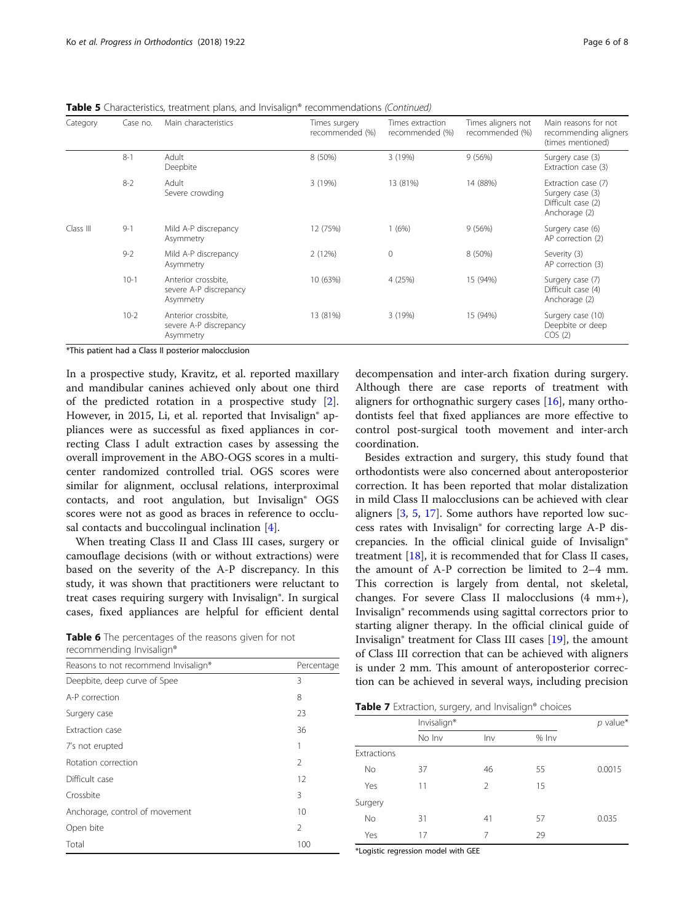<span id="page-5-0"></span>Table 5 Characteristics, treatment plans, and Invisalign® recommendations (Continued)

| Category  | Case no. | Main characteristics                                       | Times surgery<br>recommended (%) | Times extraction<br>recommended (%) | Times aligners not<br>recommended (%) | Main reasons for not<br>recommending aligners<br>(times mentioned)             |
|-----------|----------|------------------------------------------------------------|----------------------------------|-------------------------------------|---------------------------------------|--------------------------------------------------------------------------------|
|           | $8 - 1$  | Adult<br>Deepbite                                          | 8 (50%)                          | 3(19%)                              | 9(56%)                                | Surgery case (3)<br>Extraction case (3)                                        |
|           | $8 - 2$  | Adult<br>Severe crowding                                   | 3 (19%)                          | 13 (81%)                            | 14 (88%)                              | Extraction case (7)<br>Surgery case (3)<br>Difficult case (2)<br>Anchorage (2) |
| Class III | $9 - 1$  | Mild A-P discrepancy<br>Asymmetry                          | 12 (75%)                         | 1(6%)                               | 9(56%)                                | Surgery case (6)<br>AP correction (2)                                          |
|           | $9 - 2$  | Mild A-P discrepancy<br>Asymmetry                          | 2(12%)                           | $\mathbf{0}$                        | 8 (50%)                               | Severity (3)<br>AP correction (3)                                              |
|           | $10 - 1$ | Anterior crossbite,<br>severe A-P discrepancy<br>Asymmetry | 10 (63%)                         | 4 (25%)                             | 15 (94%)                              | Surgery case (7)<br>Difficult case (4)<br>Anchorage (2)                        |
|           | $10 - 2$ | Anterior crossbite,<br>severe A-P discrepancy<br>Asymmetry | 13 (81%)                         | 3(19%)                              | 15 (94%)                              | Surgery case (10)<br>Deepbite or deep<br>COS(2)                                |

\*This patient had a Class II posterior malocclusion

In a prospective study, Kravitz, et al. reported maxillary and mandibular canines achieved only about one third of the predicted rotation in a prospective study [\[2](#page-6-0)]. However, in 2015, Li, et al. reported that Invisalign<sup>®</sup> appliances were as successful as fixed appliances in correcting Class I adult extraction cases by assessing the overall improvement in the ABO-OGS scores in a multicenter randomized controlled trial. OGS scores were similar for alignment, occlusal relations, interproximal contacts, and root angulation, but Invisalign® OGS scores were not as good as braces in reference to occlusal contacts and buccolingual inclination [[4\]](#page-7-0).

When treating Class II and Class III cases, surgery or camouflage decisions (with or without extractions) were based on the severity of the A-P discrepancy. In this study, it was shown that practitioners were reluctant to treat cases requiring surgery with Invisalign®. In surgical cases, fixed appliances are helpful for efficient dental

Table 6 The percentages of the reasons given for not recommending Invisalign®

| Reasons to not recommend Invisalign® | Percentage     |
|--------------------------------------|----------------|
| Deepbite, deep curve of Spee         | 3              |
| A-P correction                       | 8              |
| Surgery case                         | 23             |
| Extraction case                      | 36             |
| 7's not erupted                      | 1              |
| Rotation correction                  | $\mathfrak{D}$ |
| Difficult case                       | 12             |
| Crossbite                            | 3              |
| Anchorage, control of movement       | 10             |
| Open bite                            | $\mathfrak{D}$ |
| Total                                | 100            |

decompensation and inter-arch fixation during surgery. Although there are case reports of treatment with aligners for orthognathic surgery cases [\[16\]](#page-7-0), many orthodontists feel that fixed appliances are more effective to control post-surgical tooth movement and inter-arch coordination.

Besides extraction and surgery, this study found that orthodontists were also concerned about anteroposterior correction. It has been reported that molar distalization in mild Class II malocclusions can be achieved with clear aligners [[3,](#page-6-0) [5](#page-7-0), [17\]](#page-7-0). Some authors have reported low success rates with Invisalign® for correcting large A-P discrepancies. In the official clinical guide of Invisalign® treatment [[18\]](#page-7-0), it is recommended that for Class II cases, the amount of A-P correction be limited to 2–4 mm. This correction is largely from dental, not skeletal, changes. For severe Class II malocclusions (4 mm+), Invisalign® recommends using sagittal correctors prior to starting aligner therapy. In the official clinical guide of Invisalign® treatment for Class III cases [[19](#page-7-0)], the amount of Class III correction that can be achieved with aligners is under 2 mm. This amount of anteroposterior correction can be achieved in several ways, including precision

Table 7 Extraction, surgery, and Invisalign® choices

|             | Invisalign®   |                |       |        |  |
|-------------|---------------|----------------|-------|--------|--|
|             | No Inv<br>Inv |                | % Inv |        |  |
| Extractions |               |                |       |        |  |
| No          | 37            | 46             | 55    | 0.0015 |  |
| Yes         | 11            | $\overline{2}$ | 15    |        |  |
| Surgery     |               |                |       |        |  |
| No          | 31            | 41             | 57    | 0.035  |  |
| Yes         | 17            | 7              | 29    |        |  |

\*Logistic regression model with GEE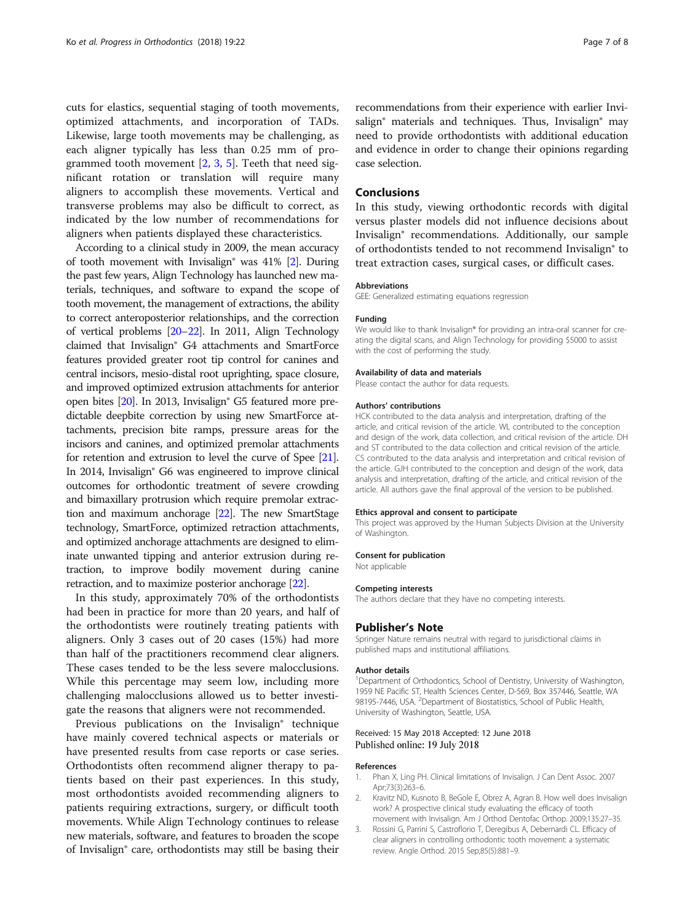<span id="page-6-0"></span>cuts for elastics, sequential staging of tooth movements, optimized attachments, and incorporation of TADs. Likewise, large tooth movements may be challenging, as each aligner typically has less than 0.25 mm of programmed tooth movement [2, 3, [5\]](#page-7-0). Teeth that need significant rotation or translation will require many aligners to accomplish these movements. Vertical and transverse problems may also be difficult to correct, as indicated by the low number of recommendations for aligners when patients displayed these characteristics.

According to a clinical study in 2009, the mean accuracy of tooth movement with Invisalign® was 41% [2]. During the past few years, Align Technology has launched new materials, techniques, and software to expand the scope of tooth movement, the management of extractions, the ability to correct anteroposterior relationships, and the correction of vertical problems [\[20](#page-7-0)–[22\]](#page-7-0). In 2011, Align Technology claimed that Invisalign® G4 attachments and SmartForce features provided greater root tip control for canines and central incisors, mesio-distal root uprighting, space closure, and improved optimized extrusion attachments for anterior open bites [[20](#page-7-0)]. In 2013, Invisalign® G5 featured more predictable deepbite correction by using new SmartForce attachments, precision bite ramps, pressure areas for the incisors and canines, and optimized premolar attachments for retention and extrusion to level the curve of Spee [\[21](#page-7-0)]. In 2014, Invisalign® G6 was engineered to improve clinical outcomes for orthodontic treatment of severe crowding and bimaxillary protrusion which require premolar extraction and maximum anchorage [\[22\]](#page-7-0). The new SmartStage technology, SmartForce, optimized retraction attachments, and optimized anchorage attachments are designed to eliminate unwanted tipping and anterior extrusion during retraction, to improve bodily movement during canine retraction, and to maximize posterior anchorage [[22\]](#page-7-0).

In this study, approximately 70% of the orthodontists had been in practice for more than 20 years, and half of the orthodontists were routinely treating patients with aligners. Only 3 cases out of 20 cases (15%) had more than half of the practitioners recommend clear aligners. These cases tended to be the less severe malocclusions. While this percentage may seem low, including more challenging malocclusions allowed us to better investigate the reasons that aligners were not recommended.

Previous publications on the Invisalign® technique have mainly covered technical aspects or materials or have presented results from case reports or case series. Orthodontists often recommend aligner therapy to patients based on their past experiences. In this study, most orthodontists avoided recommending aligners to patients requiring extractions, surgery, or difficult tooth movements. While Align Technology continues to release new materials, software, and features to broaden the scope of Invisalign® care, orthodontists may still be basing their recommendations from their experience with earlier Invisalign<sup>®</sup> materials and techniques. Thus, Invisalign<sup>®</sup> may need to provide orthodontists with additional education and evidence in order to change their opinions regarding case selection.

## Conclusions

In this study, viewing orthodontic records with digital versus plaster models did not influence decisions about Invisalign® recommendations. Additionally, our sample of orthodontists tended to not recommend Invisalign® to treat extraction cases, surgical cases, or difficult cases.

#### Abbreviations

GEE: Generalized estimating equations regression

#### Funding

We would like to thank Invisalign® for providing an intra-oral scanner for creating the digital scans, and Align Technology for providing \$5000 to assist with the cost of performing the study.

#### Availability of data and materials

Please contact the author for data requests.

#### Authors' contributions

HCK contributed to the data analysis and interpretation, drafting of the article, and critical revision of the article. WL contributed to the conception and design of the work, data collection, and critical revision of the article. DH and ST contributed to the data collection and critical revision of the article. CS contributed to the data analysis and interpretation and critical revision of the article. GJH contributed to the conception and design of the work, data analysis and interpretation, drafting of the article, and critical revision of the article. All authors gave the final approval of the version to be published.

#### Ethics approval and consent to participate

This project was approved by the Human Subjects Division at the University of Washington.

#### Consent for publication

Not applicable

#### Competing interests

The authors declare that they have no competing interests.

#### Publisher's Note

Springer Nature remains neutral with regard to jurisdictional claims in published maps and institutional affiliations.

#### Author details

<sup>1</sup>Department of Orthodontics, School of Dentistry, University of Washington, 1959 NE Pacific ST, Health Sciences Center, D-569, Box 357446, Seattle, WA 98195-7446, USA. <sup>2</sup>Department of Biostatistics, School of Public Health, University of Washington, Seattle, USA.

#### Received: 15 May 2018 Accepted: 12 June 2018 Published online: 19 July 2018

#### References

- 1. Phan X, Ling PH. Clinical limitations of Invisalign. J Can Dent Assoc. 2007 Apr;73(3):263–6.
- 2. Kravitz ND, Kusnoto B, BeGole E, Obrez A, Agran B. How well does Invisalign work? A prospective clinical study evaluating the efficacy of tooth movement with Invisalign. Am J Orthod Dentofac Orthop. 2009;135:27–35.
- 3. Rossini G, Parrini S, Castroflorio T, Deregibus A, Debernardi CL. Efficacy of clear aligners in controlling orthodontic tooth movement: a systematic review. Angle Orthod. 2015 Sep;85(5):881–9.